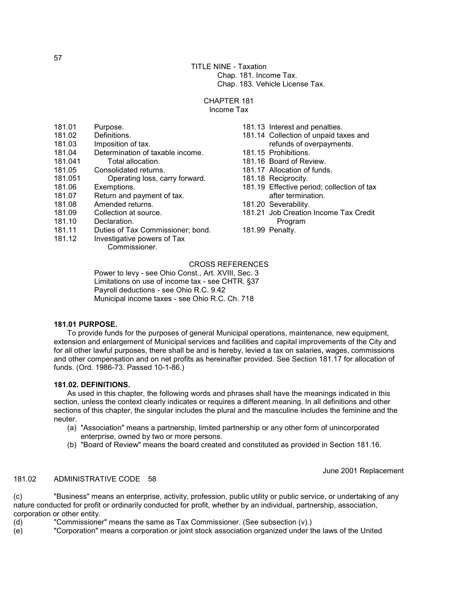TITLE NINE - Taxation Chap. 181. Income Tax. Chap. 183. Vehicle License Tax.

#### CHAPTER 181 Income Tax

- 181.02 Definitions.
- 181.03 Imposition of tax.<br>181.04 Determination of t
- 181.04 Determination of taxable income.<br>181.041 Total allocation.
- 181.041 Total allocation.
- 181.05 Consolidated returns.
- 181.051 Operating loss, carry forward.
- 181.06 Exemptions.
- 181.07 Return and payment of tax.
- 181.08 Amended returns.
- 181.09 Collection at source.
- 181.10 Declaration.<br>181.11 Duties of Tax
- Duties of Tax Commissioner; bond.
- 181.12 Investigative powers of Tax

Commissioner.

- 181.13 Interest and penalties.
- 181.14 Collection of unpaid taxes and refunds of overpayments.
- 181.15 Prohibitions.
- 181.16 Board of Review.
- 181.17 Allocation of funds.
- 181.18 Reciprocity.
- 181.19 Effective period; collection of tax after termination.
- 181.20 Severability.
- 181.21 Job Creation Income Tax Credit Program
- 181.99 Penalty.

### CROSS REFERENCES

 Power to levy - see Ohio Const., Art. XVIII, Sec. 3 Limitations on use of income tax - see CHTR. §37 Payroll deductions - see Ohio R.C. 9.42 Municipal income taxes - see Ohio R.C. Ch. 718

### **181.01 PURPOSE.**

 To provide funds for the purposes of general Municipal operations, maintenance, new equipment, extension and enlargement of Municipal services and facilities and capital improvements of the City and for all other lawful purposes, there shall be and is hereby, levied a tax on salaries, wages, commissions and other compensation and on net profits as hereinafter provided. See Section 181.17 for allocation of funds. (Ord. 1986-73. Passed 10-1-86.)

### **181.02. DEFINITIONS.**

 As used in this chapter, the following words and phrases shall have the meanings indicated in this section, unless the context clearly indicates or requires a different meaning. In all definitions and other sections of this chapter, the singular includes the plural and the masculine includes the feminine and the neuter.

- (a) "Association" means a partnership, limited partnership or any other form of unincorporated enterprise, owned by two or more persons.
- (b) "Board of Review" means the board created and constituted as provided in Section 181.16.

June 2001 Replacement

### 181.02 ADMINISTRATIVE CODE 58

(c) "Business" means an enterprise, activity, profession, public utility or public service, or undertaking of any nature conducted for profit or ordinarily conducted for profit, whether by an individual, partnership, association, corporation or other entity.

- (d) "Commissioner" means the same as Tax Commissioner. (See subsection (v).)
- (e) "Corporation" means a corporation or joint stock association organized under the laws of the United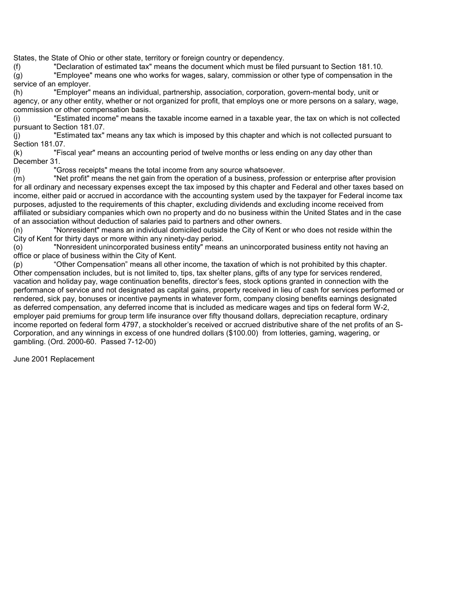States, the State of Ohio or other state, territory or foreign country or dependency.

(f) "Declaration of estimated tax" means the document which must be filed pursuant to Section 181.10.

 $\overline{q}$  "Employee" means one who works for wages, salary, commission or other type of compensation in the service of an employer.

(h) "Employer" means an individual, partnership, association, corporation, govern-mental body, unit or agency, or any other entity, whether or not organized for profit, that employs one or more persons on a salary, wage, commission or other compensation basis.

(i) "Estimated income" means the taxable income earned in a taxable year, the tax on which is not collected pursuant to Section 181.07.

(j) "Estimated tax" means any tax which is imposed by this chapter and which is not collected pursuant to Section 181.07.

(k) "Fiscal year" means an accounting period of twelve months or less ending on any day other than December 31.

(l) "Gross receipts" means the total income from any source whatsoever.

(m) "Net profit" means the net gain from the operation of a business, profession or enterprise after provision for all ordinary and necessary expenses except the tax imposed by this chapter and Federal and other taxes based on income, either paid or accrued in accordance with the accounting system used by the taxpayer for Federal income tax purposes, adjusted to the requirements of this chapter, excluding dividends and excluding income received from affiliated or subsidiary companies which own no property and do no business within the United States and in the case of an association without deduction of salaries paid to partners and other owners.

(n) "Nonresident" means an individual domiciled outside the City of Kent or who does not reside within the City of Kent for thirty days or more within any ninety-day period.

(o) "Nonresident unincorporated business entity" means an unincorporated business entity not having an office or place of business within the City of Kent.

(p) "Other Compensation" means all other income, the taxation of which is not prohibited by this chapter. Other compensation includes, but is not limited to, tips, tax shelter plans, gifts of any type for services rendered, vacation and holiday pay, wage continuation benefits, director's fees, stock options granted in connection with the performance of service and not designated as capital gains, property received in lieu of cash for services performed or rendered, sick pay, bonuses or incentive payments in whatever form, company closing benefits earnings designated as deferred compensation, any deferred income that is included as medicare wages and tips on federal form W-2, employer paid premiums for group term life insurance over fifty thousand dollars, depreciation recapture, ordinary income reported on federal form 4797, a stockholder's received or accrued distributive share of the net profits of an S-Corporation, and any winnings in excess of one hundred dollars (\$100.00) from lotteries, gaming, wagering, or gambling. (Ord. 2000-60. Passed 7-12-00)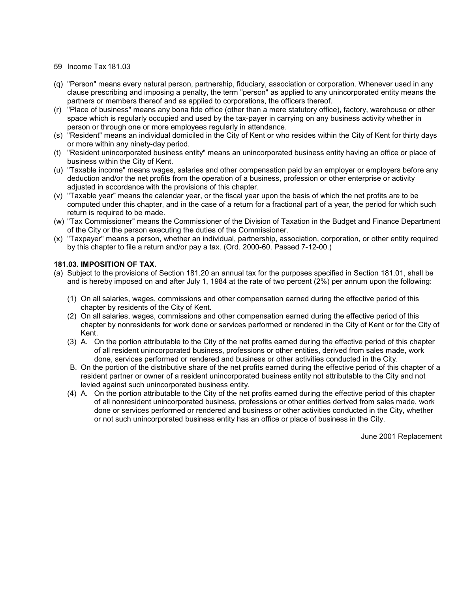- (q) "Person" means every natural person, partnership, fiduciary, association or corporation. Whenever used in any clause prescribing and imposing a penalty, the term "person" as applied to any unincorporated entity means the partners or members thereof and as applied to corporations, the officers thereof.
- (r) "Place of business" means any bona fide office (other than a mere statutory office), factory, warehouse or other space which is regularly occupied and used by the tax-payer in carrying on any business activity whether in person or through one or more employees regularly in attendance.
- (s) "Resident" means an individual domiciled in the City of Kent or who resides within the City of Kent for thirty days or more within any ninety-day period.
- (t) "Resident unincorporated business entity" means an unincorporated business entity having an office or place of business within the City of Kent.
- (u) "Taxable income" means wages, salaries and other compensation paid by an employer or employers before any deduction and/or the net profits from the operation of a business, profession or other enterprise or activity adjusted in accordance with the provisions of this chapter.
- (v) "Taxable year" means the calendar year, or the fiscal year upon the basis of which the net profits are to be computed under this chapter, and in the case of a return for a fractional part of a year, the period for which such return is required to be made.
- (w) "Tax Commissioner" means the Commissioner of the Division of Taxation in the Budget and Finance Department of the City or the person executing the duties of the Commissioner.
- (x) "Taxpayer" means a person, whether an individual, partnership, association, corporation, or other entity required by this chapter to file a return and/or pay a tax. (Ord. 2000-60. Passed 7-12-00.)

### **181.03. IMPOSITION OF TAX.**

- (a) Subject to the provisions of Section 181.20 an annual tax for the purposes specified in Section 181.01, shall be and is hereby imposed on and after July 1, 1984 at the rate of two percent (2%) per annum upon the following:
	- (1) On all salaries, wages, commissions and other compensation earned during the effective period of this chapter by residents of the City of Kent.
	- (2) On all salaries, wages, commissions and other compensation earned during the effective period of this chapter by nonresidents for work done or services performed or rendered in the City of Kent or for the City of Kent.
	- (3) A. On the portion attributable to the City of the net profits earned during the effective period of this chapter of all resident unincorporated business, professions or other entities, derived from sales made, work done, services performed or rendered and business or other activities conducted in the City.
	- B. On the portion of the distributive share of the net profits earned during the effective period of this chapter of a resident partner or owner of a resident unincorporated business entity not attributable to the City and not levied against such unincorporated business entity.
	- (4) A. On the portion attributable to the City of the net profits earned during the effective period of this chapter of all nonresident unincorporated business, professions or other entities derived from sales made, work done or services performed or rendered and business or other activities conducted in the City, whether or not such unincorporated business entity has an office or place of business in the City.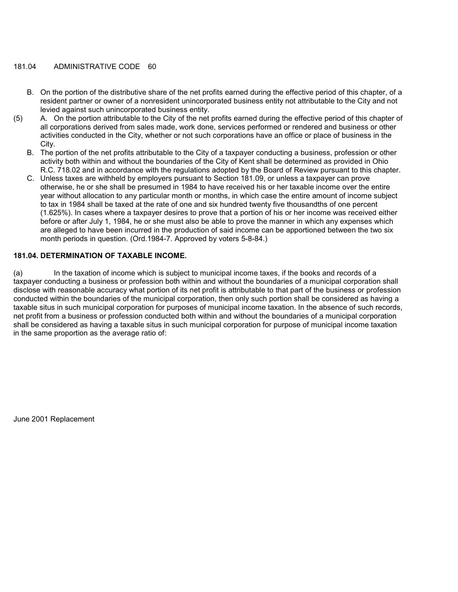### 181.04 ADMINISTRATIVE CODE 60

- B. On the portion of the distributive share of the net profits earned during the effective period of this chapter, of a resident partner or owner of a nonresident unincorporated business entity not attributable to the City and not levied against such unincorporated business entity.
- (5) A. On the portion attributable to the City of the net profits earned during the effective period of this chapter of all corporations derived from sales made, work done, services performed or rendered and business or other activities conducted in the City, whether or not such corporations have an office or place of business in the City.
	- B. The portion of the net profits attributable to the City of a taxpayer conducting a business, profession or other activity both within and without the boundaries of the City of Kent shall be determined as provided in Ohio R.C. 718.02 and in accordance with the regulations adopted by the Board of Review pursuant to this chapter.
	- C. Unless taxes are withheld by employers pursuant to Section 181.09, or unless a taxpayer can prove otherwise, he or she shall be presumed in 1984 to have received his or her taxable income over the entire year without allocation to any particular month or months, in which case the entire amount of income subject to tax in 1984 shall be taxed at the rate of one and six hundred twenty five thousandths of one percent (1.625%). In cases where a taxpayer desires to prove that a portion of his or her income was received either before or after July 1, 1984, he or she must also be able to prove the manner in which any expenses which are alleged to have been incurred in the production of said income can be apportioned between the two six month periods in question. (Ord.1984-7. Approved by voters 5-8-84.)

### **181.04. DETERMINATION OF TAXABLE INCOME.**

(a) In the taxation of income which is subject to municipal income taxes, if the books and records of a taxpayer conducting a business or profession both within and without the boundaries of a municipal corporation shall disclose with reasonable accuracy what portion of its net profit is attributable to that part of the business or profession conducted within the boundaries of the municipal corporation, then only such portion shall be considered as having a taxable situs in such municipal corporation for purposes of municipal income taxation. In the absence of such records, net profit from a business or profession conducted both within and without the boundaries of a municipal corporation shall be considered as having a taxable situs in such municipal corporation for purpose of municipal income taxation in the same proportion as the average ratio of: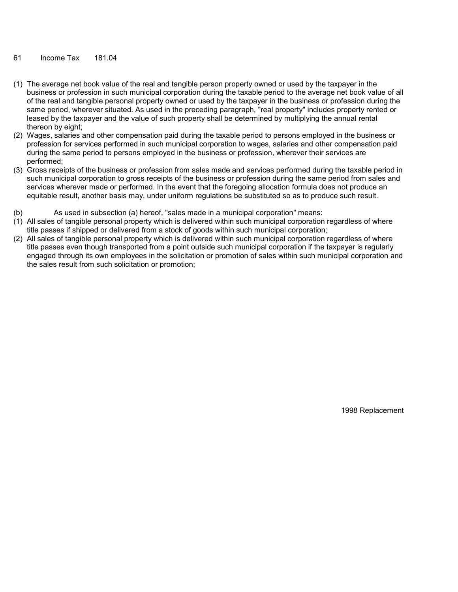- (1) The average net book value of the real and tangible person property owned or used by the taxpayer in the business or profession in such municipal corporation during the taxable period to the average net book value of all of the real and tangible personal property owned or used by the taxpayer in the business or profession during the same period, wherever situated. As used in the preceding paragraph, "real property" includes property rented or leased by the taxpayer and the value of such property shall be determined by multiplying the annual rental thereon by eight;
- (2) Wages, salaries and other compensation paid during the taxable period to persons employed in the business or profession for services performed in such municipal corporation to wages, salaries and other compensation paid during the same period to persons employed in the business or profession, wherever their services are performed;
- (3) Gross receipts of the business or profession from sales made and services performed during the taxable period in such municipal corporation to gross receipts of the business or profession during the same period from sales and services wherever made or performed. In the event that the foregoing allocation formula does not produce an equitable result, another basis may, under uniform regulations be substituted so as to produce such result.
- (b) As used in subsection (a) hereof, "sales made in a municipal corporation" means:
- (1) All sales of tangible personal property which is delivered within such municipal corporation regardless of where title passes if shipped or delivered from a stock of goods within such municipal corporation;
- (2) All sales of tangible personal property which is delivered within such municipal corporation regardless of where title passes even though transported from a point outside such municipal corporation if the taxpayer is regularly engaged through its own employees in the solicitation or promotion of sales within such municipal corporation and the sales result from such solicitation or promotion;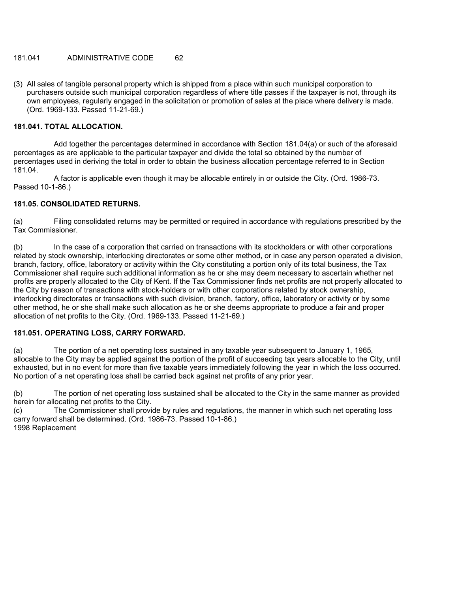## 181.041 ADMINISTRATIVE CODE 62

(3) All sales of tangible personal property which is shipped from a place within such municipal corporation to purchasers outside such municipal corporation regardless of where title passes if the taxpayer is not, through its own employees, regularly engaged in the solicitation or promotion of sales at the place where delivery is made. (Ord. 1969-133. Passed 11-21-69.)

### **181.041. TOTAL ALLOCATION.**

 Add together the percentages determined in accordance with Section 181.04(a) or such of the aforesaid percentages as are applicable to the particular taxpayer and divide the total so obtained by the number of percentages used in deriving the total in order to obtain the business allocation percentage referred to in Section 181.04.

 A factor is applicable even though it may be allocable entirely in or outside the City. (Ord. 1986-73. Passed 10-1-86.)

### **181.05. CONSOLIDATED RETURNS.**

(a) Filing consolidated returns may be permitted or required in accordance with regulations prescribed by the Tax Commissioner.

(b) In the case of a corporation that carried on transactions with its stockholders or with other corporations related by stock ownership, interlocking directorates or some other method, or in case any person operated a division, branch, factory, office, laboratory or activity within the City constituting a portion only of its total business, the Tax Commissioner shall require such additional information as he or she may deem necessary to ascertain whether net profits are properly allocated to the City of Kent. If the Tax Commissioner finds net profits are not properly allocated to the City by reason of transactions with stock-holders or with other corporations related by stock ownership, interlocking directorates or transactions with such division, branch, factory, office, laboratory or activity or by some other method, he or she shall make such allocation as he or she deems appropriate to produce a fair and proper allocation of net profits to the City. (Ord. 1969-133. Passed 11-21-69.)

### **181.051. OPERATING LOSS, CARRY FORWARD.**

(a) The portion of a net operating loss sustained in any taxable year subsequent to January 1, 1965, allocable to the City may be applied against the portion of the profit of succeeding tax years allocable to the City, until exhausted, but in no event for more than five taxable years immediately following the year in which the loss occurred. No portion of a net operating loss shall be carried back against net profits of any prior year.

(b) The portion of net operating loss sustained shall be allocated to the City in the same manner as provided herein for allocating net profits to the City.

(c) The Commissioner shall provide by rules and regulations, the manner in which such net operating loss carry forward shall be determined. (Ord. 1986-73. Passed 10-1-86.) 1998 Replacement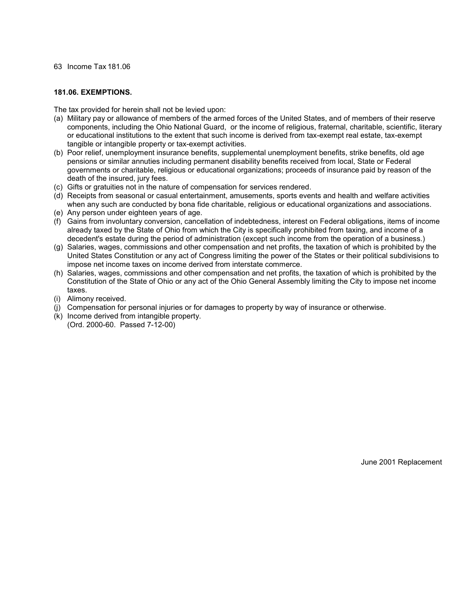### **181.06. EXEMPTIONS.**

The tax provided for herein shall not be levied upon:

- (a) Military pay or allowance of members of the armed forces of the United States, and of members of their reserve components, including the Ohio National Guard, or the income of religious, fraternal, charitable, scientific, literary or educational institutions to the extent that such income is derived from tax-exempt real estate, tax-exempt tangible or intangible property or tax-exempt activities.
- (b) Poor relief, unemployment insurance benefits, supplemental unemployment benefits, strike benefits, old age pensions or similar annuties including permanent disability benefits received from local, State or Federal governments or charitable, religious or educational organizations; proceeds of insurance paid by reason of the death of the insured, jury fees.
- (c) Gifts or gratuities not in the nature of compensation for services rendered.
- (d) Receipts from seasonal or casual entertainment, amusements, sports events and health and welfare activities when any such are conducted by bona fide charitable, religious or educational organizations and associations.
- (e) Any person under eighteen years of age.
- (f) Gains from involuntary conversion, cancellation of indebtedness, interest on Federal obligations, items of income already taxed by the State of Ohio from which the City is specifically prohibited from taxing, and income of a decedent's estate during the period of administration (except such income from the operation of a business.)
- (g) Salaries, wages, commissions and other compensation and net profits, the taxation of which is prohibited by the United States Constitution or any act of Congress limiting the power of the States or their political subdivisions to impose net income taxes on income derived from interstate commerce.
- (h) Salaries, wages, commissions and other compensation and net profits, the taxation of which is prohibited by the Constitution of the State of Ohio or any act of the Ohio General Assembly limiting the City to impose net income taxes.
- (i) Alimony received.
- (j) Compensation for personal injuries or for damages to property by way of insurance or otherwise.
- (k) Income derived from intangible property. (Ord. 2000-60. Passed 7-12-00)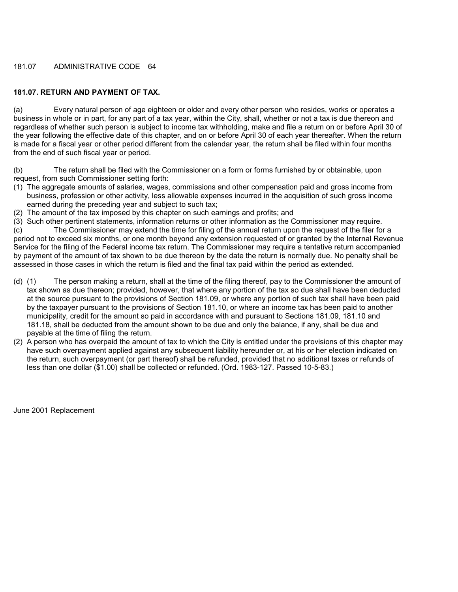### 181.07 ADMINISTRATIVE CODE 64

# **181.07. RETURN AND PAYMENT OF TAX.**

(a) Every natural person of age eighteen or older and every other person who resides, works or operates a business in whole or in part, for any part of a tax year, within the City, shall, whether or not a tax is due thereon and regardless of whether such person is subject to income tax withholding, make and file a return on or before April 30 of the year following the effective date of this chapter, and on or before April 30 of each year thereafter. When the return is made for a fiscal year or other period different from the calendar year, the return shall be filed within four months from the end of such fiscal year or period.

(b) The return shall be filed with the Commissioner on a form or forms furnished by or obtainable, upon request, from such Commissioner setting forth:

- (1) The aggregate amounts of salaries, wages, commissions and other compensation paid and gross income from business, profession or other activity, less allowable expenses incurred in the acquisition of such gross income earned during the preceding year and subject to such tax;
- (2) The amount of the tax imposed by this chapter on such earnings and profits; and

(3) Such other pertinent statements, information returns or other information as the Commissioner may require. (c) The Commissioner may extend the time for filing of the annual return upon the request of the filer for a period not to exceed six months, or one month beyond any extension requested of or granted by the Internal Revenue Service for the filing of the Federal income tax return. The Commissioner may require a tentative return accompanied by payment of the amount of tax shown to be due thereon by the date the return is normally due. No penalty shall be assessed in those cases in which the return is filed and the final tax paid within the period as extended.

- (d) (1) The person making a return, shall at the time of the filing thereof, pay to the Commissioner the amount of tax shown as due thereon; provided, however, that where any portion of the tax so due shall have been deducted at the source pursuant to the provisions of Section 181.09, or where any portion of such tax shall have been paid by the taxpayer pursuant to the provisions of Section 181.10, or where an income tax has been paid to another municipality, credit for the amount so paid in accordance with and pursuant to Sections 181.09, 181.10 and 181.18, shall be deducted from the amount shown to be due and only the balance, if any, shall be due and payable at the time of filing the return.
- (2) A person who has overpaid the amount of tax to which the City is entitled under the provisions of this chapter may have such overpayment applied against any subsequent liability hereunder or, at his or her election indicated on the return, such overpayment (or part thereof) shall be refunded, provided that no additional taxes or refunds of less than one dollar (\$1.00) shall be collected or refunded. (Ord. 1983-127. Passed 10-5-83.)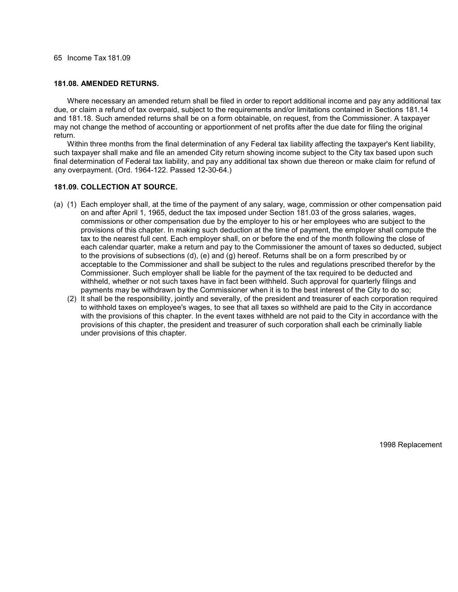#### **181.08. AMENDED RETURNS.**

 Where necessary an amended return shall be filed in order to report additional income and pay any additional tax due, or claim a refund of tax overpaid, subject to the requirements and/or limitations contained in Sections 181.14 and 181.18. Such amended returns shall be on a form obtainable, on request, from the Commissioner. A taxpayer may not change the method of accounting or apportionment of net profits after the due date for filing the original return.

 Within three months from the final determination of any Federal tax liability affecting the taxpayer's Kent liability, such taxpayer shall make and file an amended City return showing income subject to the City tax based upon such final determination of Federal tax liability, and pay any additional tax shown due thereon or make claim for refund of any overpayment. (Ord. 1964-122. Passed 12-30-64.)

### **181.09. COLLECTION AT SOURCE.**

- (a) (1) Each employer shall, at the time of the payment of any salary, wage, commission or other compensation paid on and after April 1, 1965, deduct the tax imposed under Section 181.03 of the gross salaries, wages, commissions or other compensation due by the employer to his or her employees who are subject to the provisions of this chapter. In making such deduction at the time of payment, the employer shall compute the tax to the nearest full cent. Each employer shall, on or before the end of the month following the close of each calendar quarter, make a return and pay to the Commissioner the amount of taxes so deducted, subject to the provisions of subsections (d), (e) and (g) hereof. Returns shall be on a form prescribed by or acceptable to the Commissioner and shall be subject to the rules and regulations prescribed therefor by the Commissioner. Such employer shall be liable for the payment of the tax required to be deducted and withheld, whether or not such taxes have in fact been withheld. Such approval for quarterly filings and payments may be withdrawn by the Commissioner when it is to the best interest of the City to do so;
	- (2) It shall be the responsibility, jointly and severally, of the president and treasurer of each corporation required to withhold taxes on employee's wages, to see that all taxes so withheld are paid to the City in accordance with the provisions of this chapter. In the event taxes withheld are not paid to the City in accordance with the provisions of this chapter, the president and treasurer of such corporation shall each be criminally liable under provisions of this chapter.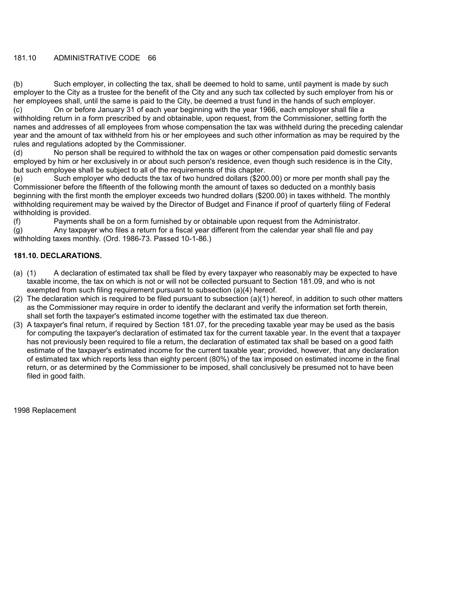### 181.10 ADMINISTRATIVE CODE 66

(b) Such employer, in collecting the tax, shall be deemed to hold to same, until payment is made by such employer to the City as a trustee for the benefit of the City and any such tax collected by such employer from his or her employees shall, until the same is paid to the City, be deemed a trust fund in the hands of such employer.

(c) On or before January 31 of each year beginning with the year 1966, each employer shall file a withholding return in a form prescribed by and obtainable, upon request, from the Commissioner, setting forth the names and addresses of all employees from whose compensation the tax was withheld during the preceding calendar year and the amount of tax withheld from his or her employees and such other information as may be required by the rules and regulations adopted by the Commissioner.

(d) No person shall be required to withhold the tax on wages or other compensation paid domestic servants employed by him or her exclusively in or about such person's residence, even though such residence is in the City, but such employee shall be subject to all of the requirements of this chapter.

(e) Such employer who deducts the tax of two hundred dollars (\$200.00) or more per month shall pay the Commissioner before the fifteenth of the following month the amount of taxes so deducted on a monthly basis beginning with the first month the employer exceeds two hundred dollars (\$200.00) in taxes withheld. The monthly withholding requirement may be waived by the Director of Budget and Finance if proof of quarterly filing of Federal withholding is provided.

(f) Payments shall be on a form furnished by or obtainable upon request from the Administrator.

(g) Any taxpayer who files a return for a fiscal year different from the calendar year shall file and pay withholding taxes monthly. (Ord. 1986-73. Passed 10-1-86.)

### **181.10. DECLARATIONS.**

- (a) (1) A declaration of estimated tax shall be filed by every taxpayer who reasonably may be expected to have taxable income, the tax on which is not or will not be collected pursuant to Section 181.09, and who is not exempted from such filing requirement pursuant to subsection (a)(4) hereof.
- (2) The declaration which is required to be filed pursuant to subsection (a)(1) hereof, in addition to such other matters as the Commissioner may require in order to identify the declarant and verify the information set forth therein, shall set forth the taxpayer's estimated income together with the estimated tax due thereon.
- (3) A taxpayer's final return, if required by Section 181.07, for the preceding taxable year may be used as the basis for computing the taxpayer's declaration of estimated tax for the current taxable year. In the event that a taxpayer has not previously been required to file a return, the declaration of estimated tax shall be based on a good faith estimate of the taxpayer's estimated income for the current taxable year; provided, however, that any declaration of estimated tax which reports less than eighty percent (80%) of the tax imposed on estimated income in the final return, or as determined by the Commissioner to be imposed, shall conclusively be presumed not to have been filed in good faith.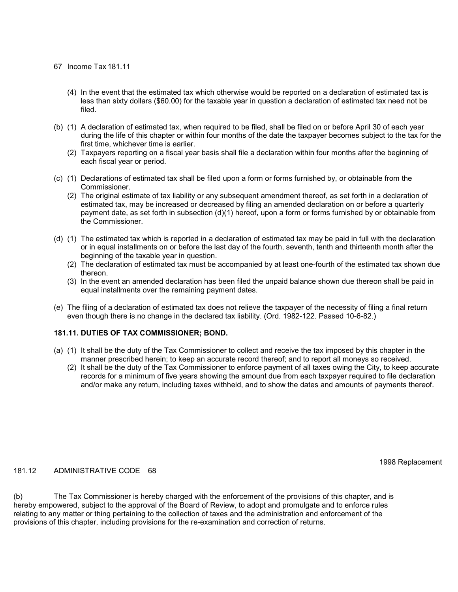- (4) In the event that the estimated tax which otherwise would be reported on a declaration of estimated tax is less than sixty dollars (\$60.00) for the taxable year in question a declaration of estimated tax need not be filed.
- (b) (1) A declaration of estimated tax, when required to be filed, shall be filed on or before April 30 of each year during the life of this chapter or within four months of the date the taxpayer becomes subject to the tax for the first time, whichever time is earlier.
	- (2) Taxpayers reporting on a fiscal year basis shall file a declaration within four months after the beginning of each fiscal year or period.
- (c) (1) Declarations of estimated tax shall be filed upon a form or forms furnished by, or obtainable from the Commissioner.
	- (2) The original estimate of tax liability or any subsequent amendment thereof, as set forth in a declaration of estimated tax, may be increased or decreased by filing an amended declaration on or before a quarterly payment date, as set forth in subsection (d)(1) hereof, upon a form or forms furnished by or obtainable from the Commissioner.
- (d) (1) The estimated tax which is reported in a declaration of estimated tax may be paid in full with the declaration or in equal installments on or before the last day of the fourth, seventh, tenth and thirteenth month after the beginning of the taxable year in question.
	- (2) The declaration of estimated tax must be accompanied by at least one-fourth of the estimated tax shown due thereon.
	- (3) In the event an amended declaration has been filed the unpaid balance shown due thereon shall be paid in equal installments over the remaining payment dates.
- (e) The filing of a declaration of estimated tax does not relieve the taxpayer of the necessity of filing a final return even though there is no change in the declared tax liability. (Ord. 1982-122. Passed 10-6-82.)

### **181.11. DUTIES OF TAX COMMISSIONER; BOND.**

- (a) (1) It shall be the duty of the Tax Commissioner to collect and receive the tax imposed by this chapter in the manner prescribed herein; to keep an accurate record thereof; and to report all moneys so received.
	- (2) It shall be the duty of the Tax Commissioner to enforce payment of all taxes owing the City, to keep accurate records for a minimum of five years showing the amount due from each taxpayer required to file declaration and/or make any return, including taxes withheld, and to show the dates and amounts of payments thereof.

181.12 ADMINISTRATIVE CODE 68

1998 Replacement

(b) The Tax Commissioner is hereby charged with the enforcement of the provisions of this chapter, and is hereby empowered, subject to the approval of the Board of Review, to adopt and promulgate and to enforce rules relating to any matter or thing pertaining to the collection of taxes and the administration and enforcement of the provisions of this chapter, including provisions for the re-examination and correction of returns.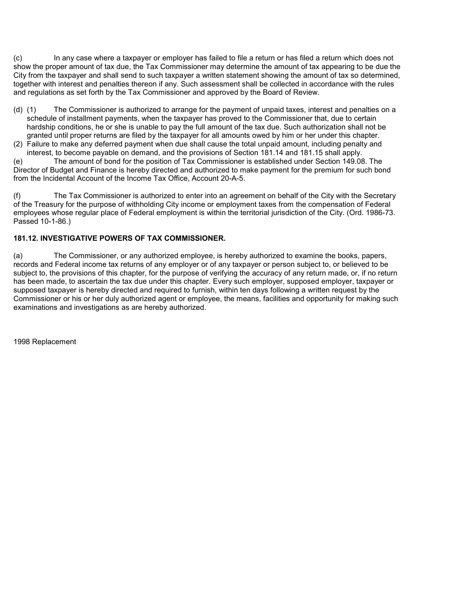(c) In any case where a taxpayer or employer has failed to file a return or has filed a return which does not show the proper amount of tax due, the Tax Commissioner may determine the amount of tax appearing to be due the City from the taxpayer and shall send to such taxpayer a written statement showing the amount of tax so determined, together with interest and penalties thereon if any. Such assessment shall be collected in accordance with the rules and regulations as set forth by the Tax Commissioner and approved by the Board of Review.

- (d) (1) The Commissioner is authorized to arrange for the payment of unpaid taxes, interest and penalties on a schedule of installment payments, when the taxpayer has proved to the Commissioner that, due to certain hardship conditions, he or she is unable to pay the full amount of the tax due. Such authorization shall not be granted until proper returns are filed by the taxpayer for all amounts owed by him or her under this chapter.
- (2) Failure to make any deferred payment when due shall cause the total unpaid amount, including penalty and interest, to become payable on demand, and the provisions of Section 181.14 and 181.15 shall apply.

(e) The amount of bond for the position of Tax Commissioner is established under Section 149.08. The Director of Budget and Finance is hereby directed and authorized to make payment for the premium for such bond from the Incidental Account of the Income Tax Office, Account 20-A-5.

(f) The Tax Commissioner is authorized to enter into an agreement on behalf of the City with the Secretary of the Treasury for the purpose of withholding City income or employment taxes from the compensation of Federal employees whose regular place of Federal employment is within the territorial jurisdiction of the City. (Ord. 1986-73. Passed 10-1-86.)

## **181.12. INVESTIGATIVE POWERS OF TAX COMMISSIONER.**

(a) The Commissioner, or any authorized employee, is hereby authorized to examine the books, papers, records and Federal income tax returns of any employer or of any taxpayer or person subject to, or believed to be subject to, the provisions of this chapter, for the purpose of verifying the accuracy of any return made, or, if no return has been made, to ascertain the tax due under this chapter. Every such employer, supposed employer, taxpayer or supposed taxpayer is hereby directed and required to furnish, within ten days following a written request by the Commissioner or his or her duly authorized agent or employee, the means, facilities and opportunity for making such examinations and investigations as are hereby authorized.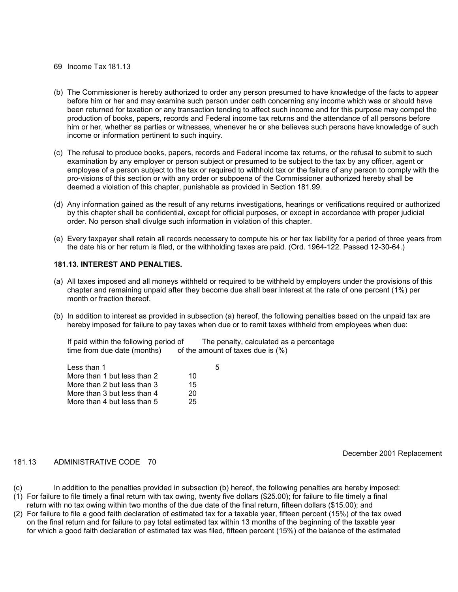- (b) The Commissioner is hereby authorized to order any person presumed to have knowledge of the facts to appear before him or her and may examine such person under oath concerning any income which was or should have been returned for taxation or any transaction tending to affect such income and for this purpose may compel the production of books, papers, records and Federal income tax returns and the attendance of all persons before him or her, whether as parties or witnesses, whenever he or she believes such persons have knowledge of such income or information pertinent to such inquiry.
- (c) The refusal to produce books, papers, records and Federal income tax returns, or the refusal to submit to such examination by any employer or person subject or presumed to be subject to the tax by any officer, agent or employee of a person subject to the tax or required to withhold tax or the failure of any person to comply with the pro-visions of this section or with any order or subpoena of the Commissioner authorized hereby shall be deemed a violation of this chapter, punishable as provided in Section 181.99.
- (d) Any information gained as the result of any returns investigations, hearings or verifications required or authorized by this chapter shall be confidential, except for official purposes, or except in accordance with proper judicial order. No person shall divulge such information in violation of this chapter.
- (e) Every taxpayer shall retain all records necessary to compute his or her tax liability for a period of three years from the date his or her return is filed, or the withholding taxes are paid. (Ord. 1964-122. Passed 12-30-64.)

### **181.13. INTEREST AND PENALTIES.**

- (a) All taxes imposed and all moneys withheld or required to be withheld by employers under the provisions of this chapter and remaining unpaid after they become due shall bear interest at the rate of one percent (1%) per month or fraction thereof.
- (b) In addition to interest as provided in subsection (a) hereof, the following penalties based on the unpaid tax are hereby imposed for failure to pay taxes when due or to remit taxes withheld from employees when due:

| If paid within the following period of | The penalty, calculated as a percentage |
|----------------------------------------|-----------------------------------------|
| time from due date (months)            | of the amount of taxes due is $(\%)$    |

|    | ٠h |
|----|----|
| 10 |    |
| 15 |    |
| 20 |    |
| 25 |    |
|    |    |

December 2001 Replacement

### 181.13 ADMINISTRATIVE CODE 70

- (c) In addition to the penalties provided in subsection (b) hereof, the following penalties are hereby imposed:
- (1) For failure to file timely a final return with tax owing, twenty five dollars (\$25.00); for failure to file timely a final return with no tax owing within two months of the due date of the final return, fifteen dollars (\$15.00); and
- (2) For failure to file a good faith declaration of estimated tax for a taxable year, fifteen percent (15%) of the tax owed on the final return and for failure to pay total estimated tax within 13 months of the beginning of the taxable year for which a good faith declaration of estimated tax was filed, fifteen percent (15%) of the balance of the estimated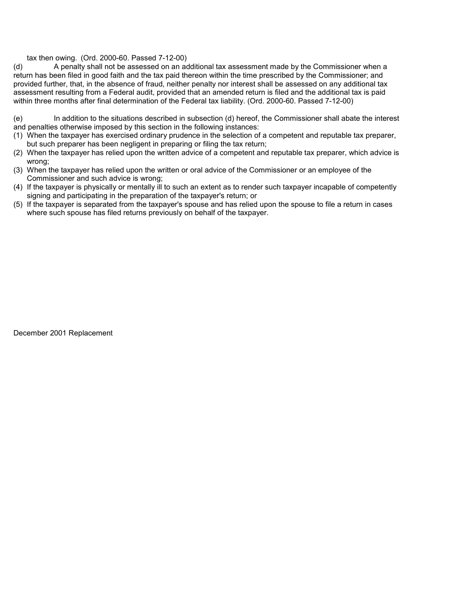### tax then owing. (Ord. 2000-60. Passed 7-12-00)

(d) A penalty shall not be assessed on an additional tax assessment made by the Commissioner when a return has been filed in good faith and the tax paid thereon within the time prescribed by the Commissioner; and provided further, that, in the absence of fraud, neither penalty nor interest shall be assessed on any additional tax assessment resulting from a Federal audit, provided that an amended return is filed and the additional tax is paid within three months after final determination of the Federal tax liability. (Ord. 2000-60. Passed 7-12-00)

(e) In addition to the situations described in subsection (d) hereof, the Commissioner shall abate the interest and penalties otherwise imposed by this section in the following instances:

- (1) When the taxpayer has exercised ordinary prudence in the selection of a competent and reputable tax preparer, but such preparer has been negligent in preparing or filing the tax return;
- (2) When the taxpayer has relied upon the written advice of a competent and reputable tax preparer, which advice is wrong;
- (3) When the taxpayer has relied upon the written or oral advice of the Commissioner or an employee of the Commissioner and such advice is wrong;
- (4) If the taxpayer is physically or mentally ill to such an extent as to render such taxpayer incapable of competently signing and participating in the preparation of the taxpayer's return; or
- (5) If the taxpayer is separated from the taxpayer's spouse and has relied upon the spouse to file a return in cases where such spouse has filed returns previously on behalf of the taxpayer.

December 2001 Replacement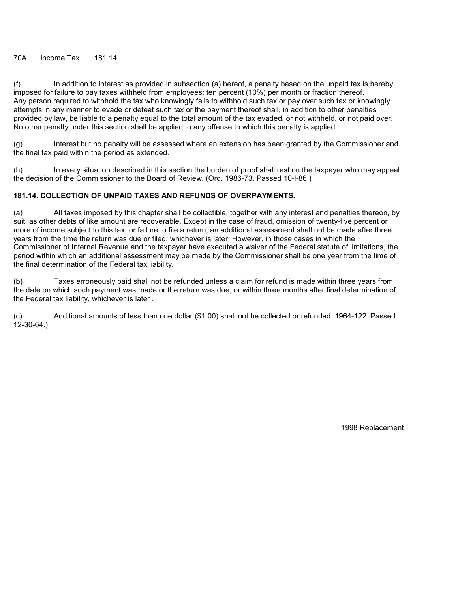(f) In addition to interest as provided in subsection (a) hereof, a penalty based on the unpaid tax is hereby imposed for failure to pay taxes withheld from employees: ten percent (10%) per month or fraction thereof. Any person required to withhold the tax who knowingly fails to withhold such tax or pay over such tax or knowingly attempts in any manner to evade or defeat such tax or the payment thereof shall, in addition to other penalties provided by law, be liable to a penalty equal to the total amount of the tax evaded, or not withheld, or not paid over. No other penalty under this section shall be applied to any offense to which this penalty is applied.

(g) Interest but no penalty will be assessed where an extension has been granted by the Commissioner and the final tax paid within the period as extended.

(h) In every situation described in this section the burden of proof shall rest on the taxpayer who may appeal the decision of the Commissioner to the Board of Review. (Ord. 1986-73. Passed 10-l-86.)

### **181.14. COLLECTION OF UNPAID TAXES AND REFUNDS OF OVERPAYMENTS.**

(a) All taxes imposed by this chapter shall be collectible, together with any interest and penalties thereon, by suit, as other debts of like amount are recoverable. Except in the case of fraud, omission of twenty-five percent or more of income subject to this tax, or failure to file a return, an additional assessment shall not be made after three years from the time the return was due or filed, whichever is later. However, in those cases in which the Commissioner of Internal Revenue and the taxpayer have executed a waiver of the Federal statute of limitations, the period within which an additional assessment may be made by the Commissioner shall be one year from the time of the final determination of the Federal tax liability.

(b) Taxes erroneously paid shall not be refunded unless a claim for refund is made within three years from the date on which such payment was made or the return was due, or within three months after final determination of the Federal tax liability, whichever is later .

(c) Additional amounts of less than one dollar (\$1.00) shall not be collected or refunded. 1964-122. Passed 12-30-64.)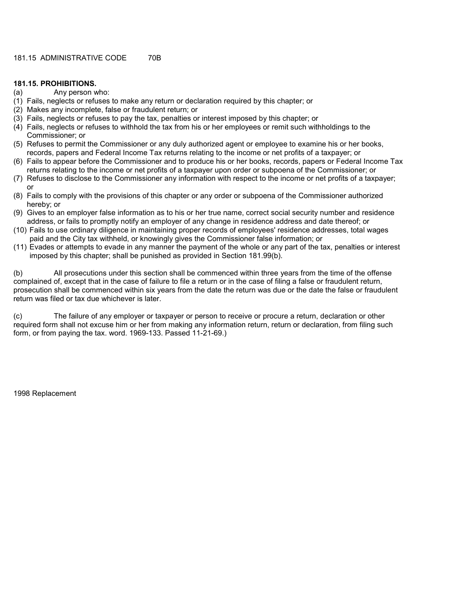### **181.15. PROHIBITIONS.**

- (a) Any person who:
- (1) Fails, neglects or refuses to make any return or declaration required by this chapter; or
- (2) Makes any incomplete, false or fraudulent return; or
- (3) Fails, neglects or refuses to pay the tax, penalties or interest imposed by this chapter; or
- (4) Fails, neglects or refuses to withhold the tax from his or her employees or remit such withholdings to the Commissioner; or
- (5) Refuses to permit the Commissioner or any duly authorized agent or employee to examine his or her books, records, papers and Federal Income Tax returns relating to the income or net profits of a taxpayer; or
- (6) Fails to appear before the Commissioner and to produce his or her books, records, papers or Federal Income Tax returns relating to the income or net profits of a taxpayer upon order or subpoena of the Commissioner; or
- (7) Refuses to disclose to the Commissioner any information with respect to the income or net profits of a taxpayer; or
- (8) Fails to comply with the provisions of this chapter or any order or subpoena of the Commissioner authorized hereby; or
- (9) Gives to an employer false information as to his or her true name, correct social security number and residence address, or fails to promptly notify an employer of any change in residence address and date thereof; or
- (10) Fails to use ordinary diligence in maintaining proper records of employees' residence addresses, total wages paid and the City tax withheld, or knowingly gives the Commissioner false information; or
- (11) Evades or attempts to evade in any manner the payment of the whole or any part of the tax, penalties or interest imposed by this chapter; shall be punished as provided in Section 181.99(b).

(b) All prosecutions under this section shall be commenced within three years from the time of the offense complained of, except that in the case of failure to file a return or in the case of filing a false or fraudulent return, prosecution shall be commenced within six years from the date the return was due or the date the false or fraudulent return was filed or tax due whichever is later.

(c) The failure of any employer or taxpayer or person to receive or procure a return, declaration or other required form shall not excuse him or her from making any information return, return or declaration, from filing such form, or from paying the tax. word. 1969-133. Passed 11-21-69.)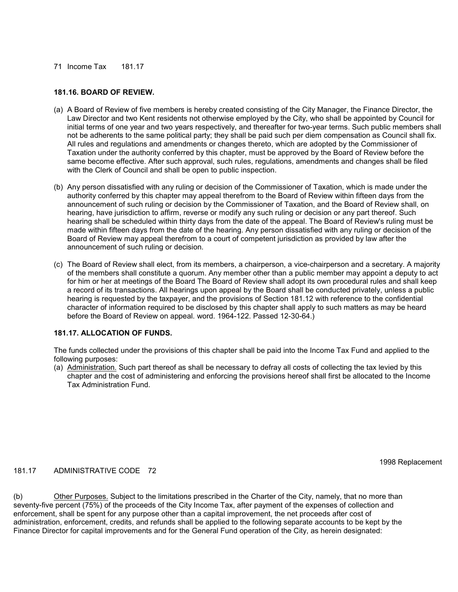### **181.16. BOARD OF REVIEW.**

- (a) A Board of Review of five members is hereby created consisting of the City Manager, the Finance Director, the Law Director and two Kent residents not otherwise employed by the City, who shall be appointed by Council for initial terms of one year and two years respectively, and thereafter for two-year terms. Such public members shall not be adherents to the same political party; they shall be paid such per diem compensation as Council shall fix. All rules and regulations and amendments or changes thereto, which are adopted by the Commissioner of Taxation under the authority conferred by this chapter, must be approved by the Board of Review before the same become effective. After such approval, such rules, regulations, amendments and changes shall be filed with the Clerk of Council and shall be open to public inspection.
- (b) Any person dissatisfied with any ruling or decision of the Commissioner of Taxation, which is made under the authority conferred by this chapter may appeal therefrom to the Board of Review within fifteen days from the announcement of such ruling or decision by the Commissioner of Taxation, and the Board of Review shall, on hearing, have jurisdiction to affirm, reverse or modify any such ruling or decision or any part thereof. Such hearing shall be scheduled within thirty days from the date of the appeal. The Board of Review's ruling must be made within fifteen days from the date of the hearing. Any person dissatisfied with any ruling or decision of the Board of Review may appeal therefrom to a court of competent jurisdiction as provided by law after the announcement of such ruling or decision.
- (c) The Board of Review shall elect, from its members, a chairperson, a vice-chairperson and a secretary. A majority of the members shall constitute a quorum. Any member other than a public member may appoint a deputy to act for him or her at meetings of the Board The Board of Review shall adopt its own procedural rules and shall keep a record of its transactions. All hearings upon appeal by the Board shall be conducted privately, unless a public hearing is requested by the taxpayer, and the provisions of Section 181.12 with reference to the confidential character of information required to be disclosed by this chapter shall apply to such matters as may be heard before the Board of Review on appeal. word. 1964-122. Passed 12-30-64.)

### **181.17. ALLOCATION OF FUNDS.**

The funds collected under the provisions of this chapter shall be paid into the Income Tax Fund and applied to the following purposes:

(a) Administration. Such part thereof as shall be necessary to defray all costs of collecting the tax levied by this chapter and the cost of administering and enforcing the provisions hereof shall first be allocated to the Income Tax Administration Fund.

### 181.17 ADMINISTRATIVE CODE 72

1998 Replacement

(b) Other Purposes. Subject to the limitations prescribed in the Charter of the City, namely, that no more than seventy-five percent (75%) of the proceeds of the City Income Tax, after payment of the expenses of collection and enforcement, shall be spent for any purpose other than a capital improvement, the net proceeds after cost of administration, enforcement, credits, and refunds shall be applied to the following separate accounts to be kept by the Finance Director for capital improvements and for the General Fund operation of the City, as herein designated: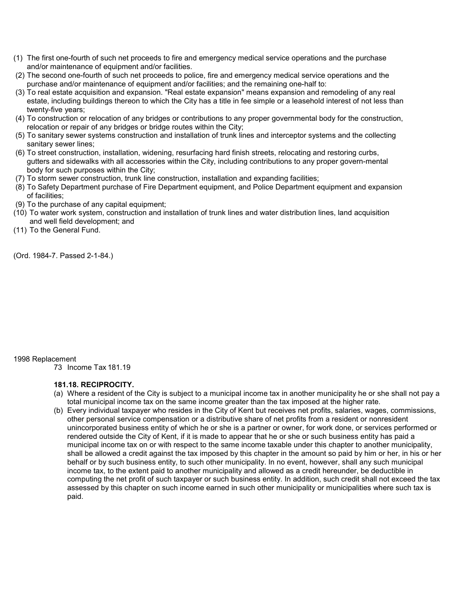- (1) The first one-fourth of such net proceeds to fire and emergency medical service operations and the purchase and/or maintenance of equipment and/or facilities.
- (2) The second one-fourth of such net proceeds to police, fire and emergency medical service operations and the purchase and/or maintenance of equipment and/or facilities; and the remaining one-half to:
- (3) To real estate acquisition and expansion. "Real estate expansion" means expansion and remodeling of any real estate, including buildings thereon to which the City has a title in fee simple or a leasehold interest of not less than twenty-five years;
- (4) To construction or relocation of any bridges or contributions to any proper governmental body for the construction, relocation or repair of any bridges or bridge routes within the City;
- (5) To sanitary sewer systems construction and installation of trunk lines and interceptor systems and the collecting sanitary sewer lines;
- (6) To street construction, installation, widening, resurfacing hard finish streets, relocating and restoring curbs, gutters and sidewalks with all accessories within the City, including contributions to any proper govern-mental body for such purposes within the City;
- (7) To storm sewer construction, trunk line construction, installation and expanding facilities;
- (8) To Safety Department purchase of Fire Department equipment, and Police Department equipment and expansion of facilities;
- (9) To the purchase of any capital equipment;
- (10) To water work system, construction and installation of trunk lines and water distribution lines, land acquisition and well field development; and
- (11) To the General Fund.

(Ord. 1984-7. Passed 2-1-84.)

### 1998 Replacement

73 Income Tax 181.19

### **181.18. RECIPROCITY.**

- (a) Where a resident of the City is subject to a municipal income tax in another municipality he or she shall not pay a total municipal income tax on the same income greater than the tax imposed at the higher rate.
- (b) Every individual taxpayer who resides in the City of Kent but receives net profits, salaries, wages, commissions, other personal service compensation or a distributive share of net profits from a resident or nonresident unincorporated business entity of which he or she is a partner or owner, for work done, or services performed or rendered outside the City of Kent, if it is made to appear that he or she or such business entity has paid a municipal income tax on or with respect to the same income taxable under this chapter to another municipality, shall be allowed a credit against the tax imposed by this chapter in the amount so paid by him or her, in his or her behalf or by such business entity, to such other municipality. In no event, however, shall any such municipal income tax, to the extent paid to another municipality and allowed as a credit hereunder, be deductible in computing the net profit of such taxpayer or such business entity. In addition, such credit shall not exceed the tax assessed by this chapter on such income earned in such other municipality or municipalities where such tax is paid.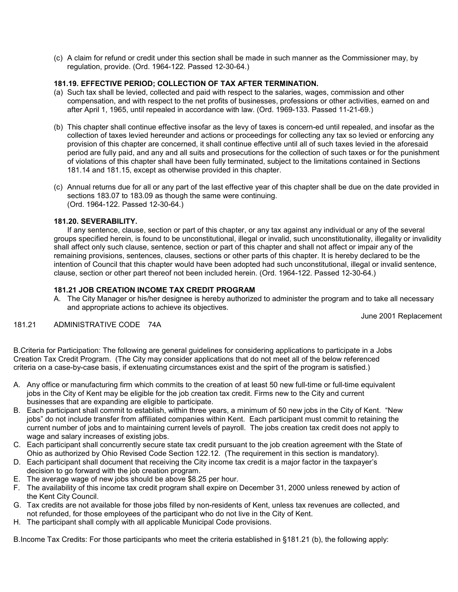(c) A claim for refund or credit under this section shall be made in such manner as the Commissioner may, by regulation, provide. (Ord. 1964-122. Passed 12-30-64.)

## **181.19. EFFECTIVE PERIOD; COLLECTION OF TAX AFTER TERMINATION.**

- (a) Such tax shall be levied, collected and paid with respect to the salaries, wages, commission and other compensation, and with respect to the net profits of businesses, professions or other activities, earned on and after April 1, 1965, until repealed in accordance with law. (Ord. 1969-133. Passed 11-21-69.)
- (b) This chapter shall continue effective insofar as the levy of taxes is concern-ed until repealed, and insofar as the collection of taxes levied hereunder and actions or proceedings for collecting any tax so levied or enforcing any provision of this chapter are concerned, it shall continue effective until all of such taxes levied in the aforesaid period are fully paid, and any and all suits and prosecutions for the collection of such taxes or for the punishment of violations of this chapter shall have been fully terminated, subject to the limitations contained in Sections 181.14 and 181.15, except as otherwise provided in this chapter.
- (c) Annual returns due for all or any part of the last effective year of this chapter shall be due on the date provided in sections 183.07 to 183.09 as though the same were continuing. (Ord. 1964-122. Passed 12-30-64.)

### **181.20. SEVERABILITY.**

 If any sentence, clause, section or part of this chapter, or any tax against any individual or any of the several groups specified herein, is found to be unconstitutional, illegal or invalid, such unconstitutionality, illegality or invalidity shall affect only such clause, sentence, section or part of this chapter and shall not affect or impair any of the remaining provisions, sentences, clauses, sections or other parts of this chapter. It is hereby declared to be the intention of Council that this chapter would have been adopted had such unconstitutional, illegal or invalid sentence, clause, section or other part thereof not been included herein. (Ord. 1964-122. Passed 12-30-64.)

### **181.21 JOB CREATION INCOME TAX CREDIT PROGRAM**

A. The City Manager or his/her designee is hereby authorized to administer the program and to take all necessary and appropriate actions to achieve its objectives.

June 2001 Replacement

181.21 ADMINISTRATIVE CODE 74A

B.Criteria for Participation: The following are general guidelines for considering applications to participate in a Jobs Creation Tax Credit Program. (The City may consider applications that do not meet all of the below referenced criteria on a case-by-case basis, if extenuating circumstances exist and the spirt of the program is satisfied.)

- A. Any office or manufacturing firm which commits to the creation of at least 50 new full-time or full-time equivalent jobs in the City of Kent may be eligible for the job creation tax credit. Firms new to the City and current businesses that are expanding are eligible to participate.
- B. Each participant shall commit to establish, within three years, a minimum of 50 new jobs in the City of Kent. "New jobs" do not include transfer from affiliated companies within Kent. Each participant must commit to retaining the current number of jobs and to maintaining current levels of payroll. The jobs creation tax credit does not apply to wage and salary increases of existing jobs.
- C. Each participant shall concurrently secure state tax credit pursuant to the job creation agreement with the State of Ohio as authorized by Ohio Revised Code Section 122.12. (The requirement in this section is mandatory).
- D. Each participant shall document that receiving the City income tax credit is a major factor in the taxpayer's decision to go forward with the job creation program.
- E. The average wage of new jobs should be above \$8.25 per hour.
- F. The availability of this income tax credit program shall expire on December 31, 2000 unless renewed by action of the Kent City Council.
- G. Tax credits are not available for those jobs filled by non-residents of Kent, unless tax revenues are collected, and not refunded, for those employees of the participant who do not live in the City of Kent.
- H. The participant shall comply with all applicable Municipal Code provisions.

B.Income Tax Credits: For those participants who meet the criteria established in §181.21 (b), the following apply: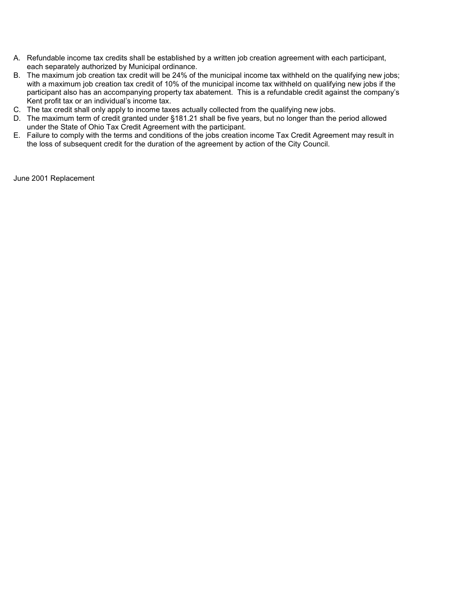- A. Refundable income tax credits shall be established by a written job creation agreement with each participant, each separately authorized by Municipal ordinance.
- B. The maximum job creation tax credit will be 24% of the municipal income tax withheld on the qualifying new jobs; with a maximum job creation tax credit of 10% of the municipal income tax withheld on qualifying new jobs if the participant also has an accompanying property tax abatement. This is a refundable credit against the company's Kent profit tax or an individual's income tax.
- C. The tax credit shall only apply to income taxes actually collected from the qualifying new jobs.
- D. The maximum term of credit granted under §181.21 shall be five years, but no longer than the period allowed under the State of Ohio Tax Credit Agreement with the participant.
- E. Failure to comply with the terms and conditions of the jobs creation income Tax Credit Agreement may result in the loss of subsequent credit for the duration of the agreement by action of the City Council.